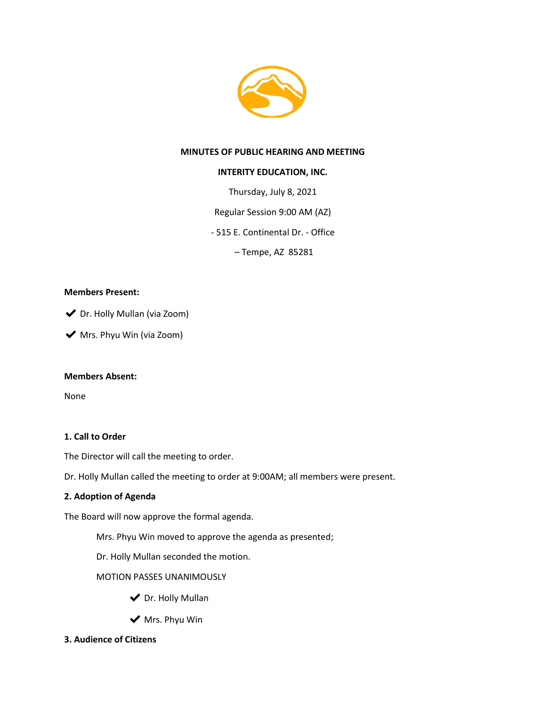

### **MINUTES OF PUBLIC HEARING AND MEETING**

### **INTERITY EDUCATION, INC.**

Thursday, July 8, 2021

Regular Session 9:00 AM (AZ)

- 515 E. Continental Dr. - Office

– Tempe, AZ 85281

### **Members Present:**

◆ Dr. Holly Mullan (via Zoom)

◆ Mrs. Phyu Win (via Zoom)

### **Members Absent:**

None

### **1. Call to Order**

The Director will call the meeting to order.

Dr. Holly Mullan called the meeting to order at 9:00AM; all members were present.

### **2. Adoption of Agenda**

The Board will now approve the formal agenda.

Mrs. Phyu Win moved to approve the agenda as presented;

Dr. Holly Mullan seconded the motion.

MOTION PASSES UNANIMOUSLY

- ◆ Dr. Holly Mullan
- $\blacktriangleright$  Mrs. Phyu Win
- **3. Audience of Citizens**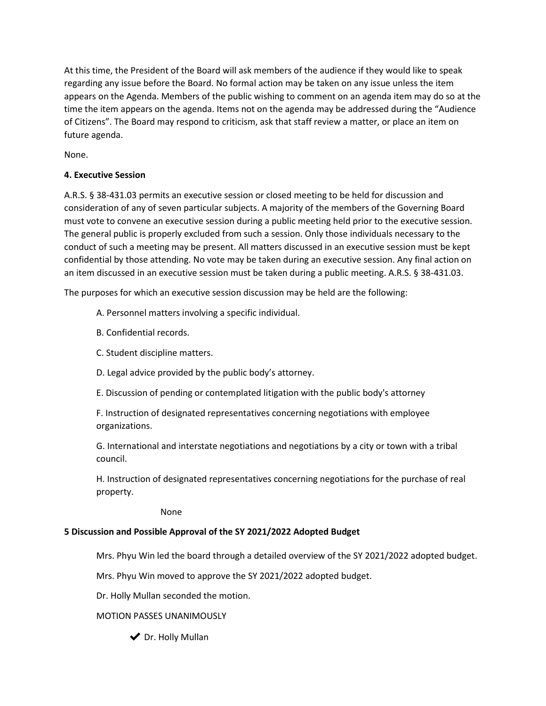At this time, the President of the Board will ask members of the audience if they would like to speak regarding any issue before the Board. No formal action may be taken on any issue unless the item appears on the Agenda. Members of the public wishing to comment on an agenda item may do so at the time the item appears on the agenda. Items not on the agenda may be addressed during the "Audience of Citizens". The Board may respond to criticism, ask that staff review a matter, or place an item on future agenda.

None.

### **4. Executive Session**

A.R.S. § 38-431.03 permits an executive session or closed meeting to be held for discussion and consideration of any of seven particular subjects. A majority of the members of the Governing Board must vote to convene an executive session during a public meeting held prior to the executive session. The general public is properly excluded from such a session. Only those individuals necessary to the conduct of such a meeting may be present. All matters discussed in an executive session must be kept confidential by those attending. No vote may be taken during an executive session. Any final action on an item discussed in an executive session must be taken during a public meeting. A.R.S. § 38-431.03.

The purposes for which an executive session discussion may be held are the following:

- A. Personnel matters involving a specific individual.
- B. Confidential records.
- C. Student discipline matters.
- D. Legal advice provided by the public body's attorney.
- E. Discussion of pending or contemplated litigation with the public body's attorney

F. Instruction of designated representatives concerning negotiations with employee organizations.

G. International and interstate negotiations and negotiations by a city or town with a tribal council.

H. Instruction of designated representatives concerning negotiations for the purchase of real property.

None

# **5 Discussion and Possible Approval of the SY 2021/2022 Adopted Budget**

Mrs. Phyu Win led the board through a detailed overview of the SY 2021/2022 adopted budget.

Mrs. Phyu Win moved to approve the SY 2021/2022 adopted budget.

Dr. Holly Mullan seconded the motion.

MOTION PASSES UNANIMOUSLY

◆ Dr. Holly Mullan